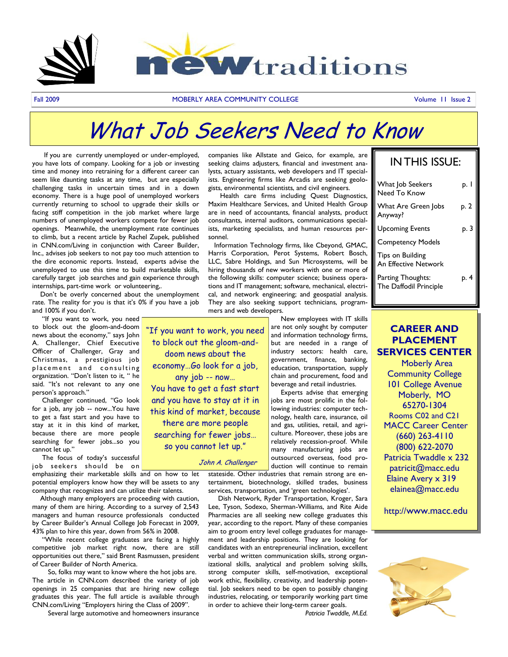

"If you want to work, you need to block out the gloom-anddoom news about the economy…Go look for a job, any job -- now… You have to get a fast start and you have to stay at it in this kind of market, because there are more people searching for fewer jobs… so you cannot let up."

John A. Challenger

Fall 2009 **MOBERLY AREA COMMUNITY COLLEGE AREA COMMUNITY COLLEGE COMMUNITY COLLEGE** 

# What Job Seekers Need to Know

 If you are currently unemployed or under-employed, you have lots of company. Looking for a job or investing time and money into retraining for a different career can seem like daunting tasks at any time, but are especially challenging tasks in uncertain times and in a down economy. There is a huge pool of unemployed workers currently returning to school to upgrade their skills or facing stiff competition in the job market where large numbers of unemployed workers compete for fewer job openings. Meanwhile, the unemployment rate continues to climb, but a recent article by Rachel Zupek, published in CNN.com/Living in conjunction with Career Builder, Inc., advises job seekers to not pay too much attention to the dire economic reports. Instead, experts advise the unemployed to use this time to build marketable skills, carefully target job searches and gain experience through internships, part-time work or volunteering,.

 Don"t be overly concerned about the unemployment rate. The reality for you is that it's 0% if you have a job and 100% if you don't.

 "If you want to work, you need to block out the gloom-and-doom news about the economy," says John A. Challenger, Chief Executive Officer of Challenger, Gray and Christmas, a prestigious job placement and consulting organization. "Don"t listen to it, " he said. "It's not relevant to any one person"s approach."

 Challenger continued, "Go look for a job, any job -- now...You have to get a fast start and you have to stay at it in this kind of market, because there are more people searching for fewer jobs...so you cannot let up."

The focus of today's successful job seekers should be on

emphasizing their marketable skills and on how to let potential employers know how they will be assets to any company that recognizes and can utilize their talents.

 Although many employers are proceeding with caution, many of them are hiring. According to a survey of 2,543 managers and human resource professionals conducted by Career Builder"s Annual College Job Forecast in 2009, 43% plan to hire this year, down from 56% in 2008.

 "While recent college graduates are facing a highly competitive job market right now, there are still opportunities out there," said Brent Rasmussen, president of Career Builder of North America.

 So, folks may want to know where the hot jobs are. The article in CNN.com described the variety of job openings in 25 companies that are hiring new college graduates this year. The full article is available through CNN.com/Living "Employers hiring the Class of 2009".

Several large automotive and homeowners insurance

companies like Allstate and Geico, for example, are seeking claims adjusters, financial and investment analysts, actuary assistants, web developers and IT specialists. Engineering firms like Arcadis are seeking geologists, environmental scientists, and civil engineers.

 Health care firms including Quest Diagnostics, Maxim Healthcare Services, and United Health Group are in need of accountants, financial analysts, product consultants, internal auditors, communications specialists, marketing specialists, and human resources personnel.

 Information Technology firms, like Cbeyond, GMAC, Harris Corporation, Perot Systems, Robert Bosch, LLC, Sabre Holdings, and Sun Microsystems, will be hiring thousands of new workers with one or more of the following skills: computer science; business operations and IT management; software, mechanical, electrical, and network engineering; and geospatial analysis. They are also seeking support technicians, programmers and web developers.

> New employees with IT skills are not only sought by computer and information technology firms, but are needed in a range of industry sectors: health care, government, finance, banking, education, transportation, supply chain and procurement, food and beverage and retail industries.

> Experts advise that emerging jobs are most prolific in the following industries: computer technology, health care, insurance, oil and gas, utilities, retail, and agriculture. Moreover, these jobs are relatively recession-proof. While many manufacturing jobs are outsourced overseas, food production will continue to remain

stateside. Other industries that remain strong are entertainment, biotechnology, skilled trades, business services, transportation, and 'green technologies'.

 Dish Network, Ryder Transportation, Kroger, Sara Lee, Tyson, Sodexo, Sherman-Williams, and Rite Aide Pharmacies are all seeking new college graduates this year, according to the report. Many of these companies aim to groom entry level college graduates for management and leadership positions. They are looking for candidates with an entrepreneurial inclination, excellent verbal and written communication skills, strong organizational skills, analytical and problem solving skills, strong computer skills, self-motivation, exceptional work ethic, flexibility, creativity, and leadership potential. Job seekers need to be open to possibly changing industries, relocating, or temporarily working part time in order to achieve their long-term career goals.

*Patricia Twaddle, M.Ed.* 

### IN THIS ISSUE:

| What Job Seekers<br>Need To Know            | p. $  \cdot  $ |
|---------------------------------------------|----------------|
| What Are Green Jobs<br>Anyway?              | P.2            |
| <b>Upcoming Events</b>                      | $\mathsf{p.3}$ |
| <b>Competency Models</b>                    |                |
| Tips on Building<br>An Effective Network    |                |
| Parting Thoughts:<br>The Daffodil Principle | p. 4           |

### **CAREER AND PLACEMENT SERVICES CENTER**

 Moberly Area Community College 101 College Avenue Moberly, MO 65270-1304 Rooms C02 and C21 MACC Career Center (660) 263-4110 (800) 622-2070 Patricia Twaddle x 232 patricit@macc.edu Elaine Avery x 319 elainea@macc.edu

http://www.macc.edu

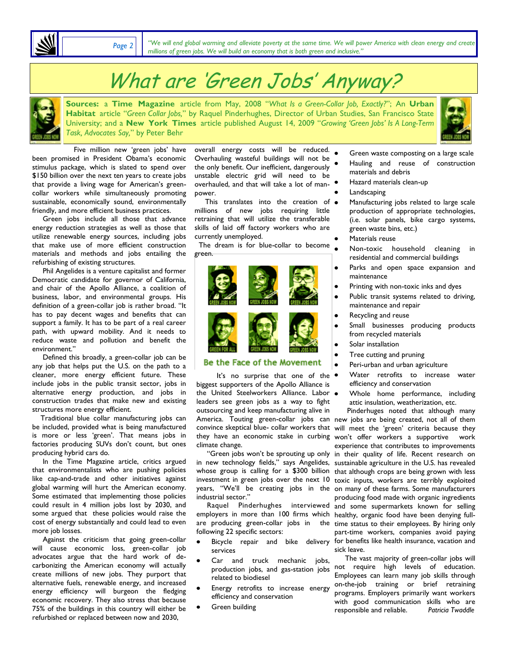*Page 2*

*"We will end global warming and alleviate poverty at the same time. We will power America with clean energy and create millions of green jobs. We will build an economy that is both green and inclusive."*

# What are "Green Jobs" Anyway?

**Sources:** a **Time Magazine** article from May, 2008 "*What Is a Green-Collar Job, Exactly?*"; An **Urban Habitat** article "*Green Collar Jobs,*" by Raquel Pinderhughes, Director of Urban Studies, San Francisco State University; and a **New York Times** article published August 14, 2009 "*Growing "Green Jobs" Is A Long-Term Task, Advocates Say,*" by Peter Behr



Five million new 'green jobs' have been promised in President Obama's economic stimulus package, which is slated to spend over \$150 billion over the next ten years to create jobs that provide a living wage for American's greencollar workers while simultaneously promoting sustainable, economically sound, environmentally friendly, and more efficient business practices.

 Green jobs include all those that advance energy reduction strategies as well as those that utilize renewable energy sources, including jobs that make use of more efficient construction materials and methods and jobs entailing the refurbishing of existing structures.

 Phil Angelides is a venture capitalist and former Democratic candidate for governor of California, and chair of the Apollo Alliance, a coalition of business, labor, and environmental groups. His definition of a green-collar job is rather broad. "It has to pay decent wages and benefits that can support a family. It has to be part of a real career path, with upward mobility. And it needs to reduce waste and pollution and benefit the environment."

 Defined this broadly, a green-collar job can be any job that helps put the U.S. on the path to a cleaner, more energy efficient future. These include jobs in the public transit sector, jobs in alternative energy production, and jobs in construction trades that make new and existing structures more energy efficient.

 Traditional blue collar manufacturing jobs can be included, provided what is being manufactured is more or less 'green'. That means jobs in factories producing SUVs don't count, but ones producing hybrid cars do.

 In the Time Magazine article, critics argued that environmentalists who are pushing policies like cap-and-trade and other initiatives against global warming will hurt the American economy. Some estimated that implementing those policies could result in 4 million jobs lost by 2030, and some argued that these policies would raise the cost of energy substantially and could lead to even more job losses.

 Against the criticism that going green-collar will cause economic loss, green-collar job advocates argue that the hard work of decarbonizing the American economy will actually create millions of new jobs. They purport that alternative fuels, renewable energy, and increased energy efficiency will burgeon the fledging economic recovery. They also stress that because 75% of the buildings in this country will either be refurbished or replaced between now and 2030,

overall energy costs will be reduced. Overhauling wasteful buildings will not be the only benefit. Our inefficient, dangerously unstable electric grid will need to be overhauled, and that will take a lot of manpower.

 This translates into the creation of  $\bullet$ millions of new jobs requiring little retraining that will utilize the transferable skills of laid off factory workers who are currently unemployed.

 The dream is for blue-collar to become green.



#### Be the Face of the Movement

It's no surprise that one of the  $\bullet$ [biggest supporters of the Apollo Alliance is](http://www.greenforall.org/icon)  the United Steelworkers Alliance. Labor . leaders see green jobs as a way to fight outsourcing and keep manufacturing alive in climate change.

industrial sector."

following 22 specific sectors:

- services
- Car and truck mechanic jobs, production jobs, and gas-station jobs related to biodiesel
- Energy retrofits to increase energy efficiency and conservation
- Green building
- Green waste composting on a large scale Hauling and reuse of construction materials and debris
- Hazard materials clean-up
- Landscaping
- Manufacturing jobs related to large scale production of appropriate technologies, (i.e. solar panels, bike cargo systems, green waste bins, etc.)
- Materials reuse

 $\bullet$ 

- Non-toxic household cleaning in residential and commercial buildings
- Parks and open space expansion and maintenance
- Printing with non-toxic inks and dyes
- Public transit systems related to driving,  $\bullet$ maintenance and repair
- Recycling and reuse
- Small businesses producing products  $\bullet$ from recycled materials
- Solar installation
- Tree cutting and pruning
- Peri-urban and urban agriculture  $\bullet$
- Water retrofits to increase water efficiency and conservation
- Whole home performance, including attic insulation, weatherization, etc.

 Pinderhuges noted that although many America. Touting green-collar jobs can new jobs are being created, not all of them convince skeptical blue- collar workers that will meet the 'green' criteria because they they have an economic stake in curbing won't offer workers a supportive work experience that contributes to improvements "Green jobs won't be sprouting up only in their quality of life. Recent research on in new technology fields," says Angelides, sustainable agriculture in the U.S. has revealed whose group is calling for a \$300 billion that although crops are being grown with less investment in green jobs over the next 10 toxic inputs, workers are terribly exploited years, "We'll be creating jobs in the on-many-of-these-farms. Some-manufacturers producing food made with organic ingredients Raquel Pinderhughes interviewed and some supermarkets known for selling employers in more than 100 firms which healthy, organic food have been denying fullare producing green-collar jobs in the time status to their employees. By hiring only part-time workers, companies avoid paying Bicycle repair and bike delivery for benefits like health insurance, vacation and sick leave.

> The vast majority of green-collar jobs will not require high levels of education. Employees can learn many job skills through on-the-job training or brief retraining programs. Employers primarily want workers with good communication skills who are responsible and reliable. *Patricia Twaddle*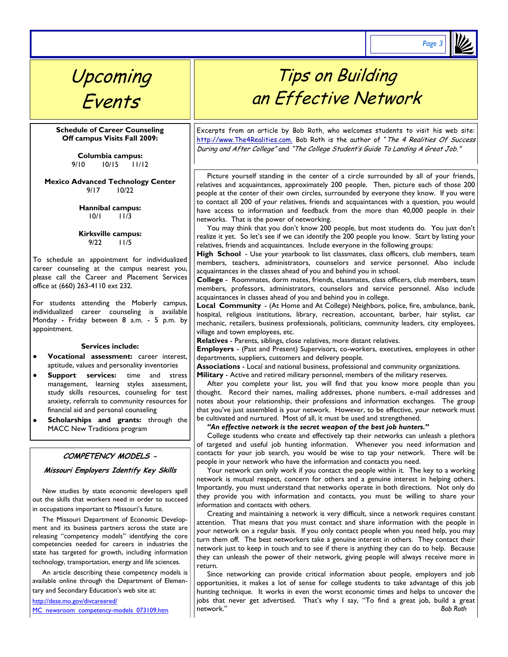*Page 3*

## Upcoming Events

**Schedule of Career Counseling Off campus Visits Fall 2009:**

> **Columbia campus:** 9/10 10/15 11/12

**Mexico Advanced Technology Center** 9/17 10/22

> **Hannibal campus:** 10/1 11/3

> **Kirksville campus:** 9/22 11/5

To schedule an appointment for individualized career counseling at the campus nearest you, please call the Career and Placement Services office at (660) 263-4110 ext 232.

For students attending the Moberly campus, individualized career counseling is available Monday - Friday between 8 a.m. - 5 p.m. by appointment.

#### **Services include:**

- **Vocational assessment:** career interest, aptitude, values and personality inventories
- **Support services:** time and stress management, learning styles assessment, study skills resources, counseling for test anxiety, referrals to community resources for financial aid and personal counseling
- **Scholarships and grants:** through the MACC New Traditions program

#### **COMPETENCY MODELS -**

**Missouri Employers Identify Key Skills** 

 New studies by state economic developers spell out the skills that workers need in order to succeed in occupations important to Missouri's future.

 The Missouri Department of Economic Development and its business partners across the state are releasing "competency models" identifying the core competencies needed for careers in industries the state has targeted for growth, including information technology, transportation, energy and life sciences.

 An article describing these competency models is available online through the Department of Elementary and Secondary Education's web site at:

[http://dese.mo.gov/divcareered/](http://dese.mo.gov/divcareered/MC_newsroom_competency-models_073109.htm)

[MC\\_newsroom\\_competency-models\\_073109.htm](http://dese.mo.gov/divcareered/MC_newsroom_competency-models_073109.htm)

## Tips on Building an Effective Network

Excerpts from an article by Bob Roth, who welcomes students to visit his web site: http://www.The4Realities.com. Bob Roth is the author of "The 4 Realities Of Success During and After College" and "The College Student's Guide To Landing A Great Job."

 Picture yourself standing in the center of a circle surrounded by all of your friends, relatives and acquaintances, approximately 200 people. Then, picture each of those 200 people at the center of their own circles, surrounded by everyone they know. If you were to contact all 200 of your relatives, friends and acquaintances with a question, you would have access to information and feedback from the more than 40,000 people in their networks. That is the power of networking.

You may think that you don't know 200 people, but most students do. You just don't realize it yet. So let's see if we can identify the 200 people you know. Start by listing your relatives, friends and acquaintances. Include everyone in the following groups:

**High School** - Use your yearbook to list classmates, class officers, club members, team members, teachers, administrators, counselors and service personnel. Also include acquaintances in the classes ahead of you and behind you in school.

**College** - Roommates, dorm mates, friends, classmates, class officers, club members, team members, professors, administrators, counselors and service personnel. Also include acquaintances in classes ahead of you and behind you in college.

**Local Community** - (At Home and At College) Neighbors, police, fire, ambulance, bank, hospital, religious institutions, library, recreation, accountant, barber, hair stylist, car mechanic, retailers, business professionals, politicians, community leaders, city employees, village and town employees, etc.

**Relatives** - Parents, siblings, close relatives, more distant relatives.

**Employers** - (Past and Present) Supervisors, co-workers, executives, employees in other departments, suppliers, customers and delivery people.

**Associations** - Local and national business, professional and community organizations.

**Military** - Active and retired military personnel, members of the military reserves.

 After you complete your list, you will find that you know more people than you thought. Record their names, mailing addresses, phone numbers, e-mail addresses and notes about your relationship, their professions and information exchanges. The group that you"ve just assembled is your network. However, to be effective, your network must be cultivated and nurtured. Most of all, it must be used and strengthened.

 *"An effective network is the secret weapon of the best job hunters."*

 College students who create and effectively tap their networks can unleash a plethora of targeted and useful job hunting information. Whenever you need information and contacts for your job search, you would be wise to tap your network. There will be people in your network who have the information and contacts you need.

 Your network can only work if you contact the people within it. The key to a working network is mutual respect, concern for others and a genuine interest in helping others. Importantly, you must understand that networks operate in both directions. Not only do they provide you with information and contacts, you must be willing to share your information and contacts with others.

 Creating and maintaining a network is very difficult, since a network requires constant attention. That means that you must contact and share information with the people in your network on a regular basis. If you only contact people when you need help, you may turn them off. The best networkers take a genuine interest in others. They contact their network just to keep in touch and to see if there is anything they can do to help. Because they can unleash the power of their network, giving people will always receive more in return.

 Since networking can provide critical information about people, employers and job opportunities, it makes a lot of sense for college students to take advantage of this job hunting technique. It works in even the worst economic times and helps to uncover the jobs that never get advertised. That's why I say, "To find a great job, build a great network." *Bob Roth*